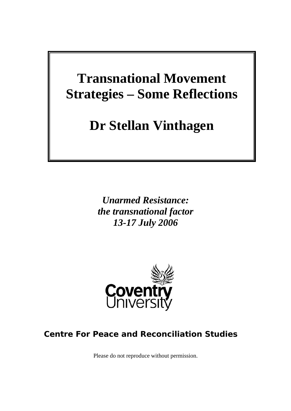# **Transnational Movement Strategies – Some Reflections**

# **Dr Stellan Vinthagen**

*Unarmed Resistance: the transnational factor 13-17 July 2006* 



# **Centre For Peace and Reconciliation Studies**

Please do not reproduce without permission.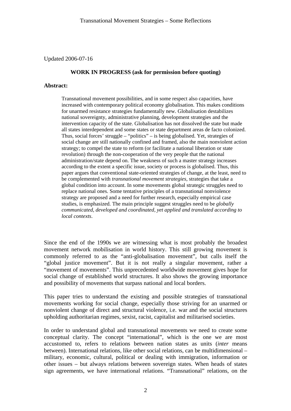Updated 2006-07-16

#### **WORK IN PROGRESS (ask for permission before quoting)**

#### **Abstract:**

Transnational movement possibilities, and in some respect also capacities, have increased with contemporary political economy globalisation. This makes conditions for unarmed resistance strategies fundamentally new. Globalisation destabilizes national sovereignty, administrative planning, development strategies and the intervention capacity of the state. Globalisation has not dissolved the state but made all states interdependent and some states or state department areas de facto colonized. Thus, social forces' struggle – "politics" – is being globalised. Yet, strategies of social change are still nationally confined and framed, also the main nonviolent action strategy; to compel the state to reform (or facilitate a national liberation or state revolution) through the non-cooperation of the very people that the national administration/state depend on. The weakness of such a master strategy increases according to the extent a specific issue, society or process is globalised. Thus, this paper argues that conventional state-oriented strategies of change, at the least, need to be complemented with *transnational movement strategies*, strategies that take a global condition into account. In some movements global strategic struggles need to replace national ones. Some tentative principles of a transnational nonviolence strategy are proposed and a need for further research, especially empirical case studies, is emphasized. The main principle suggest struggles need to be *globally communicated, developed and coordinated, yet applied and translated according to local contexts*.

Since the end of the 1990s we are witnessing what is most probably the broadest movement network mobilisation in world history. This still growing movement is commonly referred to as the "anti-globalisation movement", but calls itself the "global justice movement". But it is not really a singular movement, rather a "movement of movements". This unprecedented worldwide movement gives hope for social change of established world structures. It also shows the growing importance and possibility of movements that surpass national and local borders.

This paper tries to understand the existing and possible strategies of transnational movements working for social change, especially those striving for an unarmed or nonviolent change of direct and structural violence, i.e. war and the social structures upholding authoritarian regimes, sexist, racist, capitalist and militarised societies.

In order to understand global and transnational movements we need to create some conceptual clarity. The concept "international", which is the one we are most accustomed to, refers to relations between nation states as units (*inter* means between). International relations, like other social relations, can be multidimensional – military, economic, cultural, political or dealing with immigration, information or other issues – but always relations between sovereign states. When heads of states sign agreements, we have international relations. "Transnational" relations, on the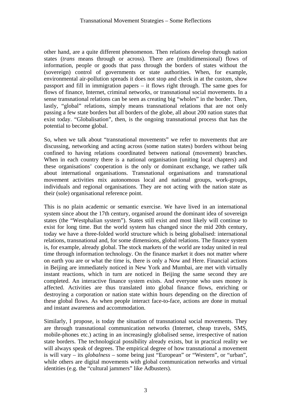other hand, are a quite different phenomenon. Then relations develop through nation states (*trans* means through or across). There are (multidimensional) flows of information, people or goods that pass through the borders of states without the (sovereign) control of governments or state authorities. When, for example, environmental air-pollution spreads it does not stop and check in at the custom, show passport and fill in immigration papers – it flows right through. The same goes for flows of finance, Internet, criminal networks, or transnational social movements. In a sense transnational relations can be seen as creating big "wholes" in the border. Then, lastly, "global" relations, simply means transnational relations that are not only passing a few state borders but all borders of the globe, all about 200 nation states that exist today. "Globalisation", then, is the ongoing transnational process that has the potential to become global.

So, when we talk about "transnational movements" we refer to movements that are discussing, networking and acting across (some nation states) borders without being confined to having relations coordinated between national (movement) branches. When in each country there is a national organisation (uniting local chapters) and these organisations' cooperation is the only or dominant exchange, we rather talk about international organisations. Transnational organisations and transnational movement activities mix autonomous local and national groups, work-groups, individuals and regional organisations. They are not acting with the nation state as their (sole) organisational reference point.

This is no plain academic or semantic exercise. We have lived in an international system since about the 17th century, organised around the dominant idea of sovereign states (the "Westphalian system"). States still exist and most likely will continue to exist for long time. But the world system has changed since the mid 20th century, today we have a three-folded world structure which is being globalised: international relations, transnational and, for some dimensions, global relations. The finance system is, for example, already global. The stock markets of the world are today united in real time through information technology. On the finance market it does not matter where on earth you are or what the time is, there is only a Now and Here. Financial actions in Beijing are immediately noticed in New York and Mumbai, are met with virtually instant reactions, which in turn are noticed in Beijing the same second they are completed. An interactive finance system exists. And everyone who uses money is affected. Activities are thus translated into global finance flows, enriching or destroying a corporation or nation state within hours depending on the direction of these global flows. As when people interact face-to-face, actions are done in mutual and instant awareness and accommodation.

Similarly, I propose, is today the situation of transnational social movements. They are through transnational communication networks (Internet, cheap travels, SMS, mobile-phones etc.) acting in an increasingly globalised sense, irrespective of nation state borders. The technological possibility already exists, but in practical reality we will always speak of degrees. The empirical degree of how transnational a movement is will vary – its *globalness* – some being just "European" or "Western", or "urban", while others are digital movements with global communication networks and virtual identities (e.g. the "cultural jammers" like Adbusters).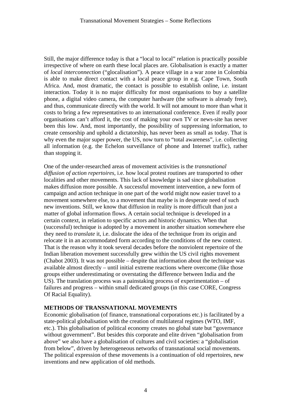Still, the major difference today is that a "local to local" relation is practically possible irrespective of where on earth these local places are. Globalisation is exactly a matter of *local interconnection* ("glocalisation"). A peace village in a war zone in Colombia is able to make direct contact with a local peace group in e.g. Cape Town, South Africa. And, most dramatic, the contact is possible to establish online, i.e. instant interaction. Today it is no major difficulty for most organisations to buy a satellite phone, a digital video camera, the computer hardware (the software is already free), and thus, communicate directly with the world. It will not amount to more than what it costs to bring a few representatives to an international conference. Even if really poor organisations can't afford it, the cost of making your own TV or news-site has never been this low. And, most importantly, the possibility of suppressing information, to create censorship and uphold a dictatorship, has never been as small as today. That is why even the major super power, the US, now turn to "total awareness", i.e. collecting all information (e.g. the Echelon surveillance of phone and Internet traffic), rather than stopping it.

One of the under-researched areas of movement activities is the *transnational diffusion of action repertoires*, i.e. how local protest routines are transported to other localities and other movements. This lack of knowledge is sad since globalisation makes diffusion more possible. A successful movement intervention, a new form of campaign and action technique in one part of the world might now easier travel to a movement somewhere else, to a movement that maybe is in desperate need of such new inventions. Still, we know that diffusion in reality is more difficult than just a matter of global information flows. A certain social technique is developed in a certain context, in relation to specific actors and historic dynamics. When that (successful) technique is adopted by a movement in another situation somewhere else they need to *translate* it, i.e. dislocate the idea of the technique from its origin and relocate it in an accommodated form according to the conditions of the new context. That is the reason why it took several decades before the nonviolent repertoire of the Indian liberation movement successfully grew within the US civil rights movement (Chabot 2003). It was not possible – despite that information about the technique was available almost directly – until initial extreme reactions where overcome (like those groups either underestimating or overstating the difference between India and the US). The translation process was a painstaking process of experimentation – of failures and progress – within small dedicated groups (in this case CORE, Congress Of Racial Equality).

# **METHODS OF TRANSNATIONAL MOVEMENTS**

Economic globalisation (of finance, transnational corporations etc.) is facilitated by a state-political globalisation with the creation of multilateral regimes (WTO, IMF, etc.). This globalisation of political economy creates no global state but "governance without government". But besides this corporate and elite driven "globalisation from above" we also have a globalisation of cultures and civil societies: a "globalisation from below", driven by heterogeneous networks of transnational social movements. The political expression of these movements is a continuation of old repertoires, new inventions and new application of old methods.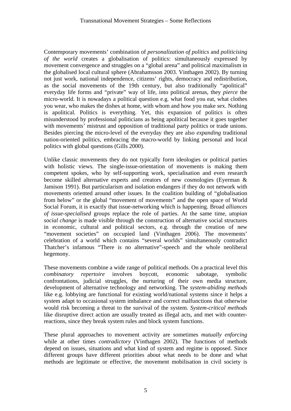Contemporary movements' combination of *personalization of politics* and *politicising of the world* creates a globalisation of politics: simultaneously expressed by movement convergence and struggles on a "global arena" and political maximalism in the globalised local cultural sphere (Abrahamsson 2003. Vinthagen 2002). By turning not just work, national independence, citizens' rights, democracy and redistribution, as the social movements of the 19th century, but also traditionally "apolitical" everyday life forms and "private" way of life, into political arenas, they *pierce* the micro-world. It is nowadays a political question e.g. what food you eat, what clothes you wear, who makes the dishes at home, with whom and how you make sex. Nothing is apolitical. Politics is everything. Yet, this expansion of politics is often misunderstood by professional politicians as being apolitical because it goes together with movements' mistrust and opposition of traditional party politics or trade unions. Besides piercing the micro-level of the everyday they are also *expanding* traditional nation-oriented politics, embracing the macro-world by linking personal and local politics with global questions (Gills 2000).

Unlike classic movements they do not typically form ideologies or political parties with holistic views. The single-issue-orientation of movements is making them competent spokes, who by self-supporting work, specialisation and even research become skilled alternative experts and creators of new cosmologies (Eyerman & Jamison 1991). But particularism and isolation endangers if they do not network with movements oriented around other issues. In the coalition building of "globalisation from below" or the global "movement of movements" and the open space of World Social Forum, it is exactly that issue-networking which is happening. Broad *alliances of issue-specialised* groups replace the role of parties. At the same time, *utopian social change* is made visible through the construction of alternative social structures in economic, cultural and political sectors, e.g. through the creation of new "movement societies" on occupied land (Vinthagen 2006). The movements' celebration of a world which contains "several worlds" simultaneously contradict Thatcher's infamous "There is no alternative"-speech and the whole neoliberal hegemony.

These movements combine a wide range of political methods. On a practical level this *combinatory repertoire* involves boycott, economic sabotage, symbolic confrontations, judicial struggles, the nurturing of their own media structure, development of alternative technology and networking. The *system-abiding methods* like e.g. lobbying are functional for existing world/national systems since it helps a system adapt to occasional system imbalance and correct malfunctions that otherwise would risk becoming a threat to the survival of the system. *System-critical methods* like disruptive direct action are usually treated as illegal acts, and met with counterreactions, since they break system rules and block system functions.

These plural approaches to movement activity are sometimes *mutually enforcing* while at other times *contradictory* (Vinthagen 2002). The functions of methods depend on issues, situations and what kind of system and regime is opposed. Since different groups have different priorities about what needs to be done and what methods are legitimate or effective, the movement mobilisation in civil society is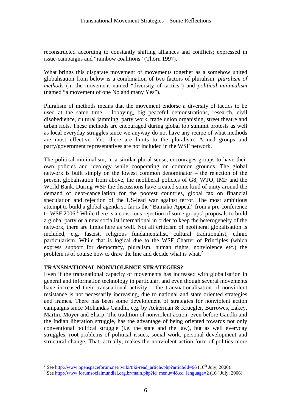reconstructed according to constantly shifting alliances and conflicts; expressed in issue-campaigns and "rainbow coalitions" (Thörn 1997).

What brings this disparate movement of movements together as a somehow united globalisation from below is a combination of two factors of pluralism: *pluralism of methods* (in the movement named "diversity of tactics") and *political minimalism* (named "a movement of one No and many Yes").

Pluralism of methods means that the movement endorse a diversity of tactics to be used at the same time – lobbying, big peaceful demonstrations, research, civil disobedience, cultural jamming, party work, trade union organising, street theatre and urban riots. These methods are encouraged during global top summit protests as well as local everyday struggles since we anyway do not have any recipe of what methods are most effective. Yet, there are limits to the pluralism. Armed groups and party/government representatives are not included in the WSF network.

The political minimalism, in a similar plural sense, encourages groups to have their own policies and ideology while cooperating on common grounds. The global network is built simply on the lowest common denominator – the rejection of the present globalisation from above, the neoliberal policies of G8, WTO, IMF and the World Bank. During WSF the discussions have created some kind of unity around the demand of debt-cancellation for the poorest countries, global tax on financial speculation and rejection of the US-lead war against terror. The most ambitious attempt to build a global agenda so far is the "Bamako Appeal" from a pre-conference to WSF 2006.<sup>1</sup> While there is a conscious rejection of some groups' proposals to build a global party or a new socialist international in order to keep the heterogeneity of the network, there are limits here as well. Not all criticism of neoliberal globalisation is included, e.g. fascist, religious fundamentalist, cultural traditionalist, ethnic particularism. While that is logical due to the WSF Charter of Principles (which express support for democracy, pluralism, human rights, nonviolence etc.) the problem is of course how to draw the line and decide what is what.<sup>2</sup>

### **TRANSNATIONAL NONVIOLENCE STRATEGIES?**

Even if the transnational capacity of movements has increased with globalisation in general and information technology in particular, and even though several movements have increased their transnational activity – the transnationalisation of nonviolent resistance is not necessarily increasing, due to national and state oriented strategies and frames. There has been some development of strategies for nonviolent action campaigns since Mohandas Gandhi, e.g. by Ackerman & Kruegler, Burrowes, Lakey, Martin, Moyer and Sharp. The tradition of nonviolent action, even before Gandhi and the Indian liberation struggle, has the advantage of being oriented towards not only conventional political struggle (i.e. the state and the law), but as well everyday struggles, root-problems of political issues, social work, personal development and structural change. That, actually, makes the nonviolent action form of politics more

<sup>&</sup>lt;sup>1</sup> See <u>http://www.openspaceforum.net/twiki/tiki-read\_article.php?articleId=66</u> (16<sup>th</sup> July, 2006).

<sup>&</sup>lt;sup>2</sup> See http://www.forumsocialmundial.org.br/main.php?id\_menu=4&cd\_language=2 (16<sup>th</sup> July, 2006).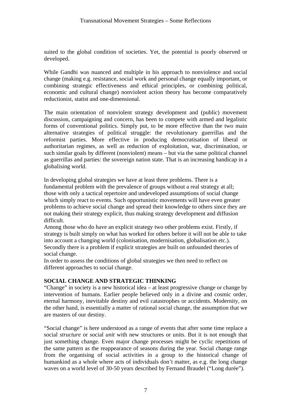suited to the global condition of societies. Yet, the potential is poorly observed or developed.

While Gandhi was nuanced and multiple in his approach to nonviolence and social change (making e.g. resistance, social work and personal change equally important, or combining strategic effectiveness and ethical principles, or combining political, economic and cultural change) nonviolent action theory has become comparatively reductionist, statist and one-dimensional.

The main orientation of nonviolent strategy development and (public) movement discussion, campaigning and concern, has been to compete with armed and legalistic forms of conventional politics. Simply put, to be more effective than the two main alternative strategies of political struggle: the revolutionary guerrillas and the reformist parties. More effective in producing democratisation of liberal or authoritarian regimes, as well as reduction of exploitation, war, discrimination, or such similar goals by different (nonviolent) means – but via the same political channel as guerrillas and parties: the sovereign nation state. That is an increasing handicap in a globalising world.

In developing global strategies we have at least three problems. There is a fundamental problem with the prevalence of groups without a real strategy at all; those with only a tactical repertoire and undeveloped assumptions of social change which simply react to events. Such opportunistic movements will have even greater problems to achieve social change and spread their knowledge to others since they are not making their strategy explicit, thus making strategy development and diffusion difficult.

Among those who do have an explicit strategy two other problems exist. Firstly, if strategy is built simply on what has worked for others before it will not be able to take into account a changing world (colonisation, modernisation, globalisation etc.). Secondly there is a problem if explicit strategies are built on unfounded theories of social change.

In order to assess the conditions of global strategies we then need to reflect on different approaches to social change.

# **SOCIAL CHANGE AND STRATEGIC THINKING**

"Change" in society is a new historical idea – at least progressive change or change by intervention of humans. Earlier people believed only in a divine and cosmic order, eternal harmony, inevitable destiny and evil catastrophes or accidents. Modernity, on the other hand, is essentially a matter of rational social change, the assumption that we are masters of our destiny.

"Social change" is here understood as a range of events that after some time replace a social *structure* or social *unit* with new structures or units. But it is not enough that just something change. Even major change processes might be cyclic repetitions of the same pattern as the reappearance of seasons during the year. Social change range from the organising of social activities in a group to the historical change of humankind as a whole where acts of individuals don't matter, as e.g. the long change waves on a world level of 30-50 years described by Fernand Braudel ("Long durée").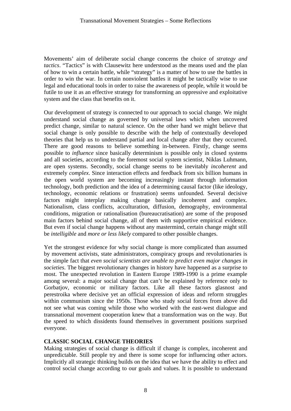Movements' aim of deliberate social change concerns the choice of *strategy and tactics*. "Tactics" is with Clausewitz here understood as the means used and the plan of how to win a certain battle, while "strategy" is a matter of how to use the battles in order to win the war. In certain nonviolent battles it might be tactically wise to use legal and educational tools in order to raise the awareness of people, while it would be futile to use it as an effective strategy for transforming an oppressive and exploitative system and the class that benefits on it.

Our development of strategy is connected to our approach to social change. We might understand social change as governed by universal laws which when uncovered predict change, similar to natural science. On the other hand we might believe that social change is only possible to describe with the help of contextually developed theories that help us to understand partial and local change after that they occurred. There are good reasons to believe something in-between. Firstly, change seems possible to *influence* since basically determinism is possible only in closed systems and all societies, according to the foremost social system scientist, Niklas Luhmann, are open systems. Secondly, social change seems to be inevitably *incoherent* and extremely *complex*. Since interaction effects and feedback from six billion humans in the open world system are becoming increasingly instant through information technology, both prediction and the idea of a determining causal factor (like ideology, technology, economic relations or frustration) seems unfounded. Several decisive factors might interplay making change basically incoherent and complex. Nationalism, class conflicts, acculturation, diffusion, demography, environmental conditions, migration or rationalisation (bureaucratisation) are some of the proposed main factors behind social change, all of them with supportive empirical evidence. But even if social change happens without any mastermind, certain change might still be *intelligible* and *more or less likely* compared to other possible changes.

Yet the strongest evidence for why social change is more complicated than assumed by movement activists, state administrators, conspiracy groups and revolutionaries is the simple fact that *even social scientists are unable to predict even major changes in societies*. The biggest revolutionary changes in history have happened as a surprise to most. The unexpected revolution in Eastern Europe 1989-1990 is a prime example among several: a major social change that can't be explained by reference only to Gorbatjov, economic or military factors. Like all these factors glasnost and perestroika where decisive yet an official expression of ideas and reform struggles within communism since the 1950s. Those who study social forces from above did not see what was coming while those who worked with the east-west dialogue and transnational movement cooperation knew that a transformation was on the way. But the speed to which dissidents found themselves in government positions surprised everyone.

### **CLASSIC SOCIAL CHANGE THEORIES**

Making strategies of social change is difficult if change is complex, incoherent and unpredictable. Still people try and there is some scope for influencing other actors. Implicitly all strategic thinking builds on the idea that we have the ability to effect and control social change according to our goals and values. It is possible to understand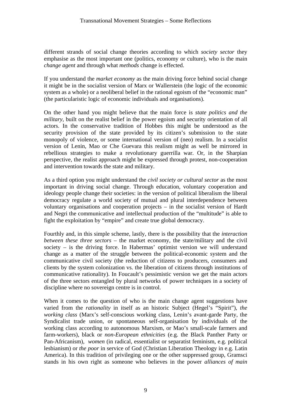different strands of social change theories according to which *society sector* they emphasise as the most important one (politics, economy or culture), who is the main *change agent* and through what *methods* change is effected.

If you understand the *market economy* as the main driving force behind social change it might be in the socialist version of Marx or Wallerstein (the logic of the economic system as a whole) or a neoliberal belief in the rational egoism of the "economic man" (the particularistic logic of economic individuals and organisations).

On the other hand you might believe that the main force is *state politics and the military*, built on the realist belief in the power egoism and security orientation of all actors. In the conservative tradition of Hobbes this might be understood as the security provision of the state provided by its citizen's submission to the state monopoly of violence, or some international version of (neo) realism. In a socialist version of Lenin, Mao or Che Guevara this realism might as well be mirrored in rebellious strategies to make a revolutionary guerrilla war. Or, in the Sharpian perspective, the realist approach might be expressed through protest, non-cooperation and intervention towards the state and military.

As a third option you might understand the *civil society or cultural sector* as the most important in driving social change. Through education, voluntary cooperation and ideology people change their societies: in the version of political liberalism the liberal democracy regulate a world society of mutual and plural interdependence between voluntary organisations and cooperation projects – in the socialist version of Hardt and Negri the communicative and intellectual production of the "multitude" is able to fight the exploitation by "empire" and create true global democracy.

Fourthly and, in this simple scheme, lastly, there is the possibility that the *interaction between these three sectors* – the market economy, the state/military and the civil society – is the driving force. In Habermas' optimist version we will understand change as a matter of the struggle between the political-economic system and the communicative civil society (the reduction of citizens to producers, consumers and clients by the system colonization vs. the liberation of citizens through institutions of communicative rationality). In Foucault's pessimistic version we get the main actors of the three sectors entangled by plural networks of power techniques in a society of discipline where no sovereign centre is in control.

When it comes to the question of who is the main change agent suggestions have varied from the *rationality* in itself as an historic Subject (Hegel's "Spirit"), *the working class* (Marx's self-conscious working class, Lenin's avant-garde Party, the Syndicalist trade union, or spontaneous self-organisation by individuals of the working class according to autonomous Marxism, or Mao's small-scale farmers and farm-workers), black or *non-European ethnicities* (e.g. the Black Panther Party or Pan-Africanism), *women* (in radical, essentialist or separatist feminism, e.g. political lesbianism) or *the poor* in service of God (Christian Liberation Theology in e.g. Latin America). In this tradition of privileging one or the other suppressed group, Gramsci stands in his own right as someone who believes in the power *alliances of main*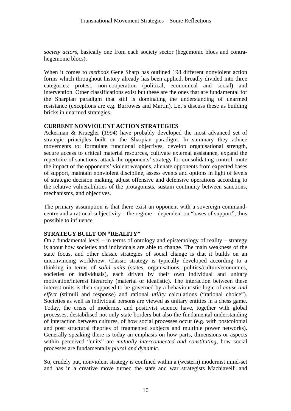*society actors*, basically one from each society sector (hegemonic blocs and contrahegemonic blocs).

When it comes to *methods* Gene Sharp has outlined 198 different nonviolent action forms which throughout history already has been applied, broadly divided into three categories: protest, non-cooperation (political, economical and social) and intervention. Other classifications exist but these are the ones that are fundamental for the Sharpian paradigm that still is dominating the understanding of unarmed resistance (exceptions are e.g. Burrowes and Martin). Let's discuss these as building bricks in unarmed strategies.

## **CURRENT NONVIOLENT ACTION STRATEGIES**

Ackerman & Kruegler (1994) have probably developed the most advanced set of strategic principles built on the Sharpian paradigm. In summary they advice movements to: formulate functional objectives, develop organisational strength, secure access to critical material resources, cultivate external assistance, expand the repertoire of sanctions, attack the opponents' strategy for consolidating control, mute the impact of the opponents' violent weapons, alienate opponents from expected bases of support, maintain nonviolent discipline, assess events and options in light of levels of strategic decision making, adjust offensive and defensive operations according to the relative vulnerabilities of the protagonists, sustain continuity between sanctions, mechanisms, and objectives.

The primary assumption is that there exist an opponent with a sovereign commandcentre and a rational subjectivity – the regime – dependent on "bases of support", thus possible to influence.

# **STRATEGY BUILT ON "REALITY"**

On a fundamental level – in terms of ontology and epistemology of reality – strategy is about how societies and individuals are able to change. The main weakness of the state focus, and other classic strategies of social change is that it builds on an unconvincing worldview. Classic strategy is typically developed according to a thinking in terms of *solid units* (states, organisations, politics/culture/economics, societies or individuals), each driven by their own individual and unitary motivation/interest hierarchy (material or idealistic). The interaction between these interest units is then supposed to be governed by a behaviouristic logic of *cause and effect* (stimuli and response) and rational *utility* calculations ("rational choice"). Societies as well as individual persons are viewed as unitary entities in a chess game. Today, the crisis of modernist and positivist science have, together with global processes, destabilised not only state borders but also the fundamental understanding of interaction between cultures, of how social processes occur (e.g. with postcolonial and post structural theories of fragmented subjects and multiple power networks). Generally speaking there is today an emphasis on how parts, dimensions or aspects within perceived "units" are *mutually interconnected and constituting*, how social processes are fundamentally *plural and dynamic*.

So, crudely put, nonviolent strategy is confined within a (western) modernist mind-set and has in a creative move turned the state and war strategists Machiavelli and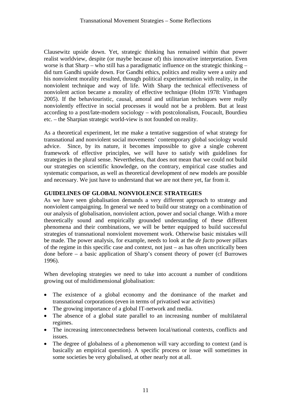Clausewitz upside down. Yet, strategic thinking has remained within that power realist worldview, despite (or maybe because of) this innovative interpretation. Even worse is that Sharp – who still has a paradigmatic influence on the strategic thinking – did turn Gandhi upside down. For Gandhi ethics, politics and reality were a unity and his nonviolent morality resulted, through political experimentation with reality, in the nonviolent technique and way of life. With Sharp the technical effectiveness of nonviolent action became a morality of effective technique (Holm 1978: Vinthagen 2005). If the behaviouristic, causal, amoral and utilitarian techniques were really nonviolently effective in social processes it would not be a problem. But at least according to a post/late-modern sociology – with postcolonalism, Foucault, Bourdieu etc. – the Sharpian strategic world-view is not founded on reality.

As a theoretical experiment, let me make a tentative suggestion of what strategy for transnational and nonviolent social movements' contemporary global sociology would advice. Since, by its nature, it becomes impossible to give a single coherent framework of effective principles, we will have to satisfy with guidelines for strategies in the plural sense. Nevertheless, that does not mean that we could not build our strategies on scientific knowledge, on the contrary, empirical case studies and systematic comparison, as well as theoretical development of new models are possible and necessary. We just have to understand that we are not there yet, far from it.

# **GUIDELINES OF GLOBAL NONVIOLENCE STRATEGIES**

As we have seen globalisation demands a very different approach to strategy and nonviolent campaigning. In general we need to build our strategy on a combination of our analysis of globalisation, nonviolent action, power and social change. With a more theoretically sound and empirically grounded understanding of these different phenomena and their combinations, we will be better equipped to build successful strategies of transnational nonviolent movement work. Otherwise basic mistakes will be made. The power analysis, for example, needs to look at the *de facto* power pillars of the regime in this specific case and context, not just – as has often uncritically been done before – a basic application of Sharp's consent theory of power (cf Burrowes 1996).

When developing strategies we need to take into account a number of conditions growing out of multidimensional globalisation:

- The existence of a global economy and the dominance of the market and transnational corporations (even in terms of privatised war activities)
- The growing importance of a global IT-network and media.
- The absence of a global state parallel to an increasing number of multilateral regimes.
- The increasing interconnectedness between local/national contexts, conflicts and issues.
- The degree of globalness of a phenomenon will vary according to context (and is basically an empirical question). A specific process or issue will sometimes in some societies be very globalised, at other nearly not at all.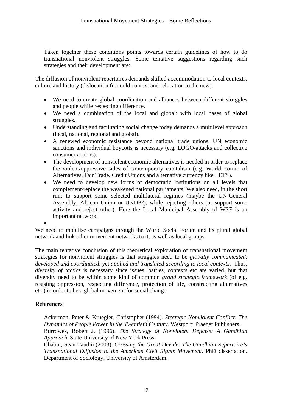Taken together these conditions points towards certain guidelines of how to do transnational nonviolent struggles. Some tentative suggestions regarding such strategies and their development are:

The diffusion of nonviolent repertoires demands skilled accommodation to local contexts, culture and history (dislocation from old context and relocation to the new).

- We need to create global coordination and alliances between different struggles and people while respecting difference.
- We need a combination of the local and global: with local bases of global struggles.
- Understanding and facilitating social change today demands a multilevel approach (local, national, regional and global).
- A renewed economic resistance beyond national trade unions, UN economic sanctions and individual boycotts is necessary (e.g. LOGO-attacks and collective consumer actions).
- The development of nonviolent economic alternatives is needed in order to replace the violent/oppressive sides of contemporary capitalism (e.g. World Forum of Alternatives, Fair Trade, Credit Unions and alternative currency like LETS).
- We need to develop new forms of democratic institutions on all levels that complement/replace the weakened national parliaments. We also need, in the short run; to support some selected multilateral regimes (maybe the UN-General Assembly, African Union or UNDP?), while rejecting others (or support some activity and reject other). Here the Local Municipal Assembly of WSF is an important network.

We need to mobilise campaigns through the World Social Forum and its plural global network and link other movement networks to it, as well as local groups.

The main tentative conclusion of this theoretical exploration of transnational movement strategies for nonviolent struggles is that struggles need to be *globally communicated, developed and coordinated*, yet *applied and translated according to local contexts*. Thus, *diversity of tactics* is necessary since issues, battles, contexts etc are varied, but that diversity need to be within some kind of common *grand strategic framework* (of e.g. resisting oppression, respecting difference, protection of life, constructing alternatives etc.) in order to be a global movement for social change.

# **References**

•

Ackerman, Peter & Kruegler, Christopher (1994). *Strategic Nonviolent Conflict: The Dynamics of People Power in the Twentieth Century*. Westport: Praeger Publishers. Burrowes, Robert J. (1996). *The Strategy of Nonviolent Defense: A Gandhian Approach*. State University of New York Press.

Chabot, Sean Taudin (2003). *Crossing the Great Devide: The Gandhian Repertoire's Transnational Diffusion to the American Civil Rights Movement*. PhD dissertation. Department of Sociology. University of Amsterdam.